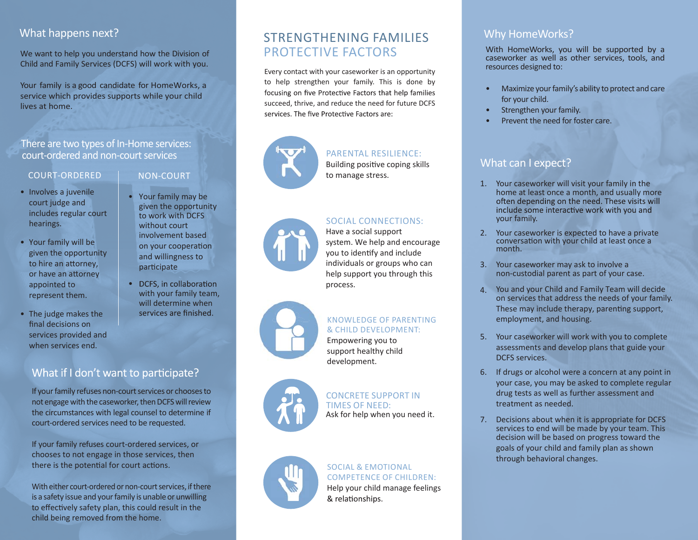## What happens next?

We want to help you understand how the Division of Child and Family Services (DCFS) will work with you.

Your family is a good candidate for HomeWorks, a service which provides supports while your child lives at home.

There are two types of In-Home services:court-ordered and non-court services

•

•

#### COURT-ORDERED

NON-COURT

 Your family may be given the opportunity to work with DCFSwithout courtinvolvement basedon your cooperaƟon and willingness to participate

with your family team, will determine when

DCFS, in collaboration

services are finished.

- Involves a juvenile court judge and includes regular court hearings.
- Your family will be given the opportunity to hire an attorney, or have an attorney appointed to represent them.
- The judge makes the final decisions onservices provided and when services end.

## What if I don't want to participate?

If your family refuses non-court services or chooses to not engage with the caseworker, then DCFS will review the circumstances with legal counsel to determine if court-ordered services need to be requested.

If your family refuses court-ordered services, or chooses to not engage in those services, then there is the potential for court actions.

With either court-ordered or non-court services, if there is a safety issue and your family is unable or unwilling to effectively safety plan, this could result in the child being removed from the home.

## STRENGTHENING FAMILIESPROTECTIVE FACTORS

Every contact with your caseworker is an opportunity to help strengthen your family. This is done by focusing on five Protective Factors that help families succeed, thrive, and reduce the need for future DCFS services. The five Protective Factors are:



#### PARENTAL RESILIENCE: Building positive coping skills

to manage stress.

## SOCIAL CONNECTIONS:

Have a social support system. We help and encourage you to identify and include individuals or groups who can help support you through this process.

#### KNOWLEDGE OF PARENTING & CHILD DEVELOPMENT:

Empowering you to support healthy child development.

### CONCRETE SUPPORT IN TIMES OF NEED:

Ask for help when you need it.

#### SOCIAL & EMOTIONAL COMPETENCE OF CHILDREN: Help your child manage feelings

& relationships.

## Why HomeWorks?

With HomeWorks, you will be supported by a caseworker as well as other services, tools, and resources designed to:

- • Maximize your family's ability to protect and care for your child.
- •Strengthen your family.
- •Prevent the need for foster care.

## What can I expect?

- 1. Your caseworker will visit your family in the home at least once a month, and usually more<br>often depending on the need. These visits will include some interactive work with you and your family.
- 2. Your caseworker is expected to have a private conversaƟon with your child at least once a month.
- 3. Your caseworker may ask to involve a non-custodial parent as part of your case.
- 4. You and your Child and Family Team will decide on services that address the needs of your family. These may include therapy, parenting support, employment, and housing.
- 5. Your caseworker will work with you to complete assessments and develop plans that guide your DCFS services.
- 6. If drugs or alcohol were a concern at any point in your case, you may be asked to complete regular drug tests as well as further assessment and treatment as needed.
- 7. Decisions about when it is appropriate for DCFS services to end will be made by your team. This decision will be based on progress toward the goals of your child and family plan as shown through behavioral changes.